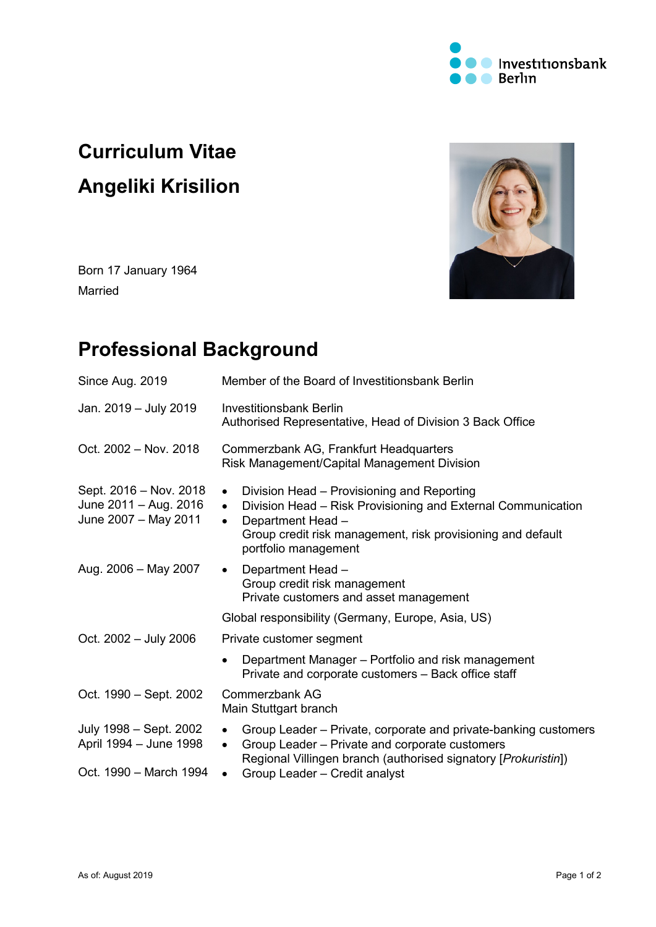

# **Curriculum Vitae Angeliki Krisilion**

Born 17 January 1964 Married

## **Professional Background**

| Since Aug. 2019                                                            | Member of the Board of Investitionsbank Berlin                                                                                                                                                                                                                |  |
|----------------------------------------------------------------------------|---------------------------------------------------------------------------------------------------------------------------------------------------------------------------------------------------------------------------------------------------------------|--|
| Jan. 2019 - July 2019                                                      | <b>Investitionsbank Berlin</b><br>Authorised Representative, Head of Division 3 Back Office                                                                                                                                                                   |  |
| Oct. 2002 - Nov. 2018                                                      | Commerzbank AG, Frankfurt Headquarters<br>Risk Management/Capital Management Division                                                                                                                                                                         |  |
| Sept. 2016 – Nov. 2018<br>June 2011 - Aug. 2016<br>June 2007 - May 2011    | Division Head - Provisioning and Reporting<br>$\bullet$<br>Division Head - Risk Provisioning and External Communication<br>$\bullet$<br>Department Head -<br>$\bullet$<br>Group credit risk management, risk provisioning and default<br>portfolio management |  |
| Aug. 2006 - May 2007                                                       | Department Head -<br>$\bullet$<br>Group credit risk management<br>Private customers and asset management                                                                                                                                                      |  |
|                                                                            | Global responsibility (Germany, Europe, Asia, US)                                                                                                                                                                                                             |  |
| Oct. 2002 - July 2006                                                      | Private customer segment                                                                                                                                                                                                                                      |  |
|                                                                            | Department Manager – Portfolio and risk management<br>Private and corporate customers - Back office staff                                                                                                                                                     |  |
| Oct. 1990 – Sept. 2002                                                     | Commerzbank AG<br>Main Stuttgart branch                                                                                                                                                                                                                       |  |
| July 1998 – Sept. 2002<br>April 1994 – June 1998<br>Oct. 1990 - March 1994 | Group Leader – Private, corporate and private-banking customers<br>$\bullet$<br>Group Leader - Private and corporate customers<br>$\bullet$<br>Regional Villingen branch (authorised signatory [Prokuristin])<br>Group Leader - Credit analyst                |  |
|                                                                            | $\bullet$                                                                                                                                                                                                                                                     |  |